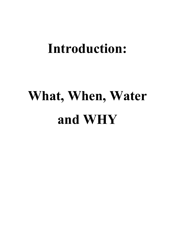## **Introduction:**

# **What, When, Water and WHY**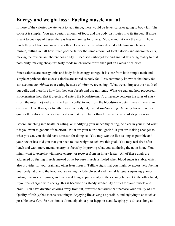#### **Energy and weight loss: Fueling muscle not fat**

If more of the calories we ate went to lean tissue, there would be fewer calories going to body fat. The concept is simple: You eat a certain amount of food, and the body distributes it to its tissues. If more is sent to one type of tissue, there is less remaining for others. Muscle and fat vary the most in how much they get from one meal to another. How a meal is balanced can double how much goes to muscle, cutting in half how much goes to fat for the same amount of total calories and macronutrients, making the reverse an inherent possibility. Processed carbohydrate and animal fats bring reality to that possibility, making cheap fast tasty foods much worse for us than just an excess of calories.

Since calories are energy units and body fat is energy storage, it is clear from both simple math and simple experience that excess calories are stored as body fat. Less commonly known is that body fat can accumulate *without* over eating because of *what* we are eating. What we eat impacts the health of our cells, and therefore how fast they can absorb and use nutrients. What we eat, and how processed it is, determines how fast it digests and enters the bloodstream. A difference between the rates of entry (from the intestine) and exit (into healthy cells) to and from the bloodstream determines if there is an overload. Overflow goes to either waste or body fat, even if *under*-eating. A candy bar with only a quarter the calories of a healthy meal can make you fatter than the meal because of its process rate.

Before launching into healthier eating, or modifying your unhealthy eating, be clear in your mind what it is you want to get out of the effort. What are your nutritional goals? If you are making changes to what you eat, you should have a reason for doing so. You may want to live as long as possible and your doctor has told you that you need to lose weight to achieve this goal. You may feel tired after lunch and want more mental energy or focus by improving what you eat during the noon hour. You might want to exercise with more energy, or recover from an injury faster. All of these goals are addressed by fueling muscle instead of fat because muscle is fueled when blood sugar is stable, which also provides for your brain and other lean tissues. Telltale signs that you might be excessively fueling your body fat due to the food you are eating include physical and mental fatigue, surprisingly longlasting illnesses or injuries, and incessant hunger, particularly in the evening hours. On the other hand, if you feel charged with energy, this is because of a steady availability of fuel for your muscle and brain. You have diverted calories away from fat, towards the tissues that increase your quality of life. Quality of life (QOL) means two things: Enjoying life as *long* as possible, and enjoying it as much as possible *each day*. So nutrition is ultimately about your happiness and keeping you alive as long as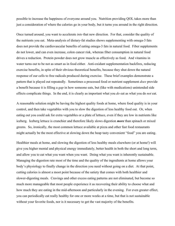possible to increase the happiness of everyone around you. Nutrition providing QOL takes more than just a consideration of where the calories go in your body, but it turns you around in the right direction.

Once turned around, you want to accelerate *into* that new direction. For that, consider the quality of the nutrients you eat. Meta-analysis of dietary-fat studies shows supplementing with omega-3 fats does not provide the cardiovascular benefits of eating omega-3 fats in natural food. Fiber supplements do not lower, and can even increase, colon cancer risk, whereas fiber consumption in natural food drives a reduction. Protein powder does not grow muscle as effectively as food. And vitamins in water turns out to be not as smart as in food either. Anti-oxidant supplementation backfires, reducing exercise benefits, in spite of their obvious theoretical benefits, because they shut down the natural response of our cells to free radicals produced during exercise. These brief examples demonstrate a pattern that is played out repeatedly. Sometimes a processed food or nutrient supplement *does* provide a benefit because it is filling a *gap* in how someone eats, but (like with medications) unintended side effects complicate things. In the end, it is clearly as important what you *do* eat as what you do *not* eat.

A reasonable solution might be having the highest quality foods at home, where food quality is in your control, and then take vegetables with you to slow the digestion of less healthy food out. Or, when eating out you could ask for extra vegetables or a plate of lettuce, even if they are low in nutrients like iceberg. Iceberg lettuce is crunchier and therefore likely slows digestion *more* than spinach or mixed greens. So, ironically, the most common lettuce available at pizza and other fast food restaurants might actually be the most effective at slowing down the heap tasty convenient "food" you are eating.

Healthier meals at home, and slowing the digestion of less healthy meals elsewhere (or at home!) will give you higher mental and physical energy immediately, better health in both the short and long term, and allow you to eat what you want when you want. Doing what you want is inherently sustainable. Managing the digestion rate most of the time and the quality of the ingredients at home allows your body's physiology to finally change in the direction you need without going on a diet. At that point, cutting calories is almost a moot point because of the satiety that comes with both healthier and slower-digesting meals. Cravings and other excess eating patterns are not eliminated, but become so much more manageable that most people experience it as recovering their ability to choose what and how much they are eating in the mid-afternoon and particularly in the evening. For even greater effect, you can periodically eat really healthy for one or more weeks at a time, but that is not sustainable without your favorite foods, nor is it necessary to get the vast majority of the benefits.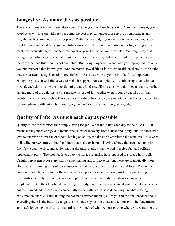### **Longevity: As many days as possible**

There is a moment in the future when you will take your last breath. Starting from that moment, your loved ones will live on without you, doing the best they can under those trying circumstances, until they themselves join you in a better place. With this in mind, if you knew that every time you ate a meal high in processed fat, sugar and total calories (think of your last fast-food or high-end gourmet meal) you were slicing off one to three hours of your life, what would you do? You might say that eating fatty carb-heavy meals makes you happy so it is worth it, that it is difficult to stop eating such foods, or that healthier food is not available. But living longer will also make you happy, and not only you but everyone that knows you. And no matter how difficult it is to eat healthier, there is little doubt that earlier death is significantly more difficult. As is true with anything in life, if it is important enough to you, you will find a way to make it happen. For example: You could bring salad with you to work each day to slow the digestion of the fast food *and* fill you up so you don't even want all of it, driving more of the calories to your muscle instead of fat whether even if you *do* eat all of it. The beauty of such an approach is that you are still eating the cheap convenient tasty foods you are used to for immediate gratification, but modifying the meal to satisfy your long-term goals.

#### **Quality of Life: As much each day as possible**

Quality of life means more than simply living longer. We want to live each day to the fullest. That means having more energy and mental focus, faster recovery from illness and injury, and for those who love to exercise or love the outdoors, having an ability to take one's activity to the next level. We want to live life on *our* terms, doing the things that make *us* happy. Having a body that can keep up with the life we want to live, and achieving our dreams, requires that the body receive fuel and cellular replacement parts. The fuel needs to go to the tissues requiring it, as opposed to storage in fat cells. Cellular replacement parts are mainly essential fats and amino acids, but these are dramatically more effective at improving physiological function when included in the diet as natural food. We do not know why supplements are ineffective at achieving wellness and are only useful for preventing malnutrition; clearly the body is more complex than we give it credit for when we consume supplements. On the other hand, providing the body more fuel or replacement parts than it needs does not result in added benefits, and can actually come with health risks depending on what is being consumed in excess. Thus, finding the balance between meeting all of your nutritional needs without exceeding them is the best way to get the most out of your life today and tomorrow. The fundamental approach for achieving this is to maximize how much of what you eat goes to where you want it to go.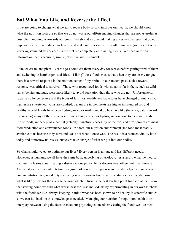#### **Eat What You Like and Reverse the Effect**

If we are going to change what we eat to reduce body fat and improve our health, we should know what the nutrition facts are so that we do not waste our efforts making changes that are not as useful as possible in moving us towards our goals. We should also avoid making excessive changes that do not improve health, may reduce our health, and make our lives more difficult to manage (such as not only lowering saturated fats or carbs in the diet but completely eliminating them). We need nutrition information that is accurate, simple, effective and sustainable.

I like ice cream and pizza. Years ago I could eat them every day for weeks before getting tired of them and switching to hamburgers and fries. "Liking" these foods means that when they are on my tongue there is a reward response in the emotion center of my brain. In our ancient past, such a reward response was critical to survival. Those who recognized foods with sugar or fat in them, such as wild yams, berries and nuts, were more likely to avoid starvation than those who did not. Unfortunately, sugar is no longer scarce and the types of fats most readily available to us have changed dramatically. Berries are sweetened, yams are candied, pecans are in pie, meats are higher in saturated fat, and healthy vegetable oils have been hydrogenated or made rancid by heat. We like (have a greater reward response to) many of these changes. Some changes, such as hydrogenation done to increase the shelf life of foods, we accept as a natural (actually, unnatural) necessity of the trial and error process of mass food production and convenience foods. In short, our nutrition environment (the food most readily available to us because they surround us) is not what it once was. The result is a reduced vitality both today and tomorrow unless we ourselves take charge of what we put into our bodies.

So what should we eat to optimize our lives? Every person is unique and has different needs. However, as humans, we all have the same basic underlying physiology. As a result, what the medical community learns about treating a disease in one person helps doctors treat others with that disease. And what we learn about nutrition in a group of people during a research study helps us to understand human nutrition in general. By reviewing what is known from scientific studies, one can determine what is likely best for the average person, which in turn, is the best starting point for each of us. From that starting point, we find what works best for us as individuals by experimenting in our own kitchens with the foods we like, always keeping in mind what has been shown to be healthy in scientific studies so we can fall back on this knowledge as needed. Managing our nutrition for optimum health is an interplay between using the facts to meet our physiological needs *and* eating the foods we like most.